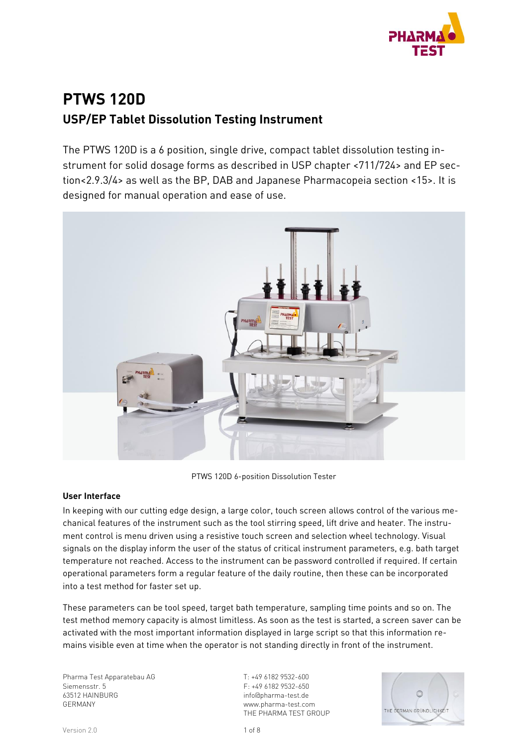

# **PTWS 120D USP/EP Tablet Dissolution Testing Instrument**

The PTWS 120D is a 6 position, single drive, compact tablet dissolution testing instrument for solid dosage forms as described in USP chapter <711/724> and EP section<2.9.3/4> as well as the BP, DAB and Japanese Pharmacopeia section <15>. It is designed for manual operation and ease of use.



PTWS 120D 6-position Dissolution Tester

### **User Interface**

In keeping with our cutting edge design, a large color, touch screen allows control of the various mechanical features of the instrument such as the tool stirring speed, lift drive and heater. The instrument control is menu driven using a resistive touch screen and selection wheel technology. Visual signals on the display inform the user of the status of critical instrument parameters, e.g. bath target temperature not reached. Access to the instrument can be password controlled if required. If certain operational parameters form a regular feature of the daily routine, then these can be incorporated into a test method for faster set up.

These parameters can be tool speed, target bath temperature, sampling time points and so on. The test method memory capacity is almost limitless. As soon as the test is started, a screen saver can be activated with the most important information displayed in large script so that this information remains visible even at time when the operator is not standing directly in front of the instrument.

Pharma Test Apparatebau AG Siemensstr. 5 63512 HAINBURG GERMANY

T: +49 6182 9532-600 F: +49 6182 9532-650 info@pharma-test.de www.pharma-test.com THE PHARMA TEST GROUP

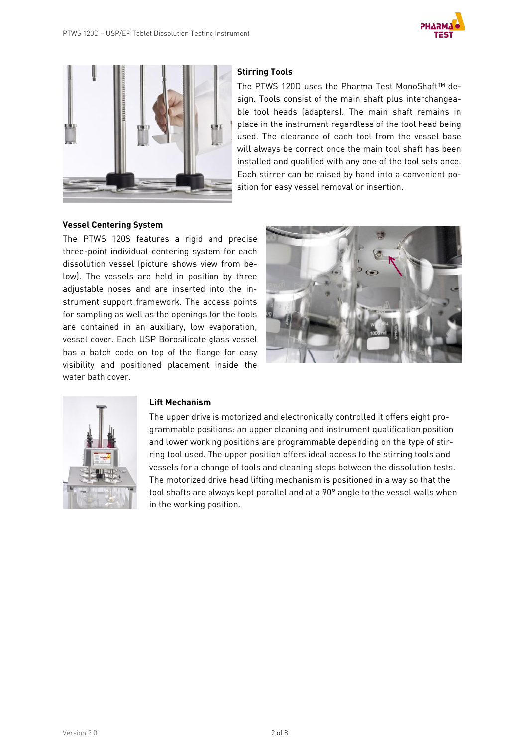



### **Stirring Tools**

The PTWS 120D uses the Pharma Test MonoShaft™ design. Tools consist of the main shaft plus interchangeable tool heads (adapters). The main shaft remains in place in the instrument regardless of the tool head being used. The clearance of each tool from the vessel base will always be correct once the main tool shaft has been installed and qualified with any one of the tool sets once. Each stirrer can be raised by hand into a convenient position for easy vessel removal or insertion.

#### **Vessel Centering System**

The PTWS 120S features a rigid and precise three-point individual centering system for each dissolution vessel (picture shows view from below). The vessels are held in position by three adjustable noses and are inserted into the instrument support framework. The access points for sampling as well as the openings for the tools are contained in an auxiliary, low evaporation, vessel cover. Each USP Borosilicate glass vessel has a batch code on top of the flange for easy visibility and positioned placement inside the water bath cover.





#### **Lift Mechanism**

The upper drive is motorized and electronically controlled it offers eight programmable positions: an upper cleaning and instrument qualification position and lower working positions are programmable depending on the type of stirring tool used. The upper position offers ideal access to the stirring tools and vessels for a change of tools and cleaning steps between the dissolution tests. The motorized drive head lifting mechanism is positioned in a way so that the tool shafts are always kept parallel and at a 90° angle to the vessel walls when in the working position.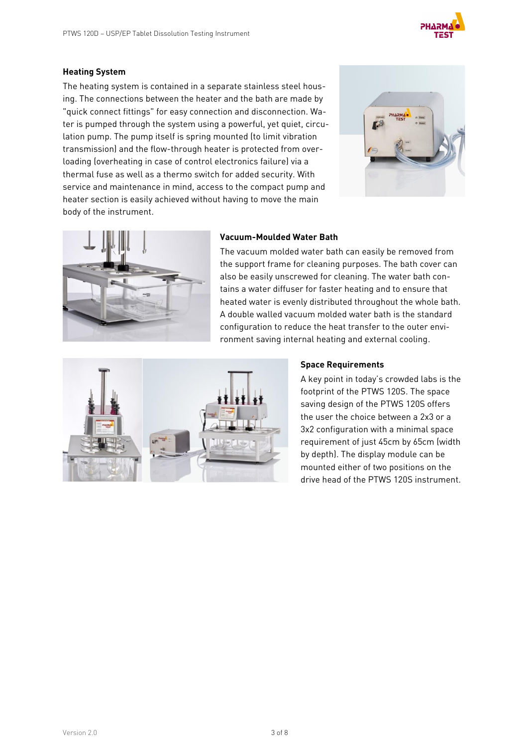

#### **Heating System**

The heating system is contained in a separate stainless steel housing. The connections between the heater and the bath are made by "quick connect fittings" for easy connection and disconnection. Water is pumped through the system using a powerful, yet quiet, circulation pump. The pump itself is spring mounted (to limit vibration transmission) and the flow-through heater is protected from overloading (overheating in case of control electronics failure) via a thermal fuse as well as a thermo switch for added security. With service and maintenance in mind, access to the compact pump and heater section is easily achieved without having to move the main body of the instrument.





#### **Vacuum-Moulded Water Bath**

The vacuum molded water bath can easily be removed from the support frame for cleaning purposes. The bath cover can also be easily unscrewed for cleaning. The water bath contains a water diffuser for faster heating and to ensure that heated water is evenly distributed throughout the whole bath. A double walled vacuum molded water bath is the standard configuration to reduce the heat transfer to the outer environment saving internal heating and external cooling.



### **Space Requirements**

A key point in today's crowded labs is the footprint of the PTWS 120S. The space saving design of the PTWS 120S offers the user the choice between a 2x3 or a 3x2 configuration with a minimal space requirement of just 45cm by 65cm (width by depth). The display module can be mounted either of two positions on the drive head of the PTWS 120S instrument.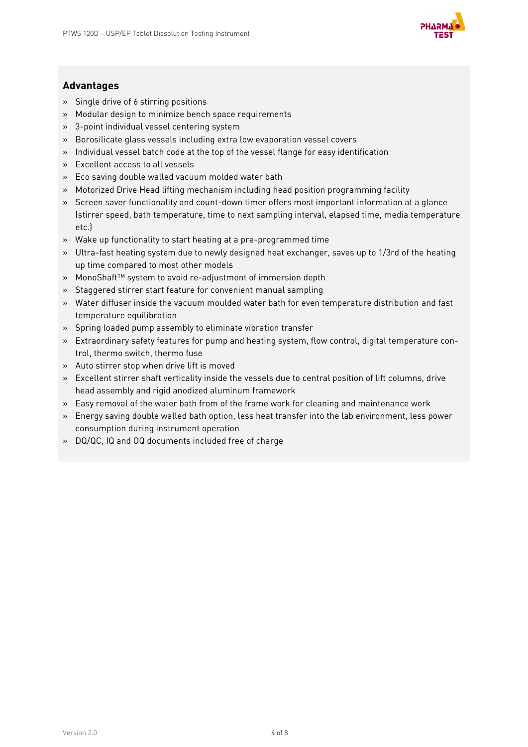

### **Advantages**

- » Single drive of 6 stirring positions
- » Modular design to minimize bench space requirements
- » 3-point individual vessel centering system
- » Borosilicate glass vessels including extra low evaporation vessel covers
- » Individual vessel batch code at the top of the vessel flange for easy identification
- » Excellent access to all vessels
- » Eco saving double walled vacuum molded water bath
- » Motorized Drive Head lifting mechanism including head position programming facility
- » Screen saver functionality and count-down timer offers most important information at a glance (stirrer speed, bath temperature, time to next sampling interval, elapsed time, media temperature etc.)
- » Wake up functionality to start heating at a pre-programmed time
- » Ultra-fast heating system due to newly designed heat exchanger, saves up to 1/3rd of the heating up time compared to most other models
- » MonoShaft™ system to avoid re-adjustment of immersion depth
- » Staggered stirrer start feature for convenient manual sampling
- » Water diffuser inside the vacuum moulded water bath for even temperature distribution and fast temperature equilibration
- » Spring loaded pump assembly to eliminate vibration transfer
- » Extraordinary safety features for pump and heating system, flow control, digital temperature control, thermo switch, thermo fuse
- » Auto stirrer stop when drive lift is moved
- » Excellent stirrer shaft verticality inside the vessels due to central position of lift columns, drive head assembly and rigid anodized aluminum framework
- » Easy removal of the water bath from of the frame work for cleaning and maintenance work
- » Energy saving double walled bath option, less heat transfer into the lab environment, less power consumption during instrument operation
- » DQ/QC, IQ and OQ documents included free of charge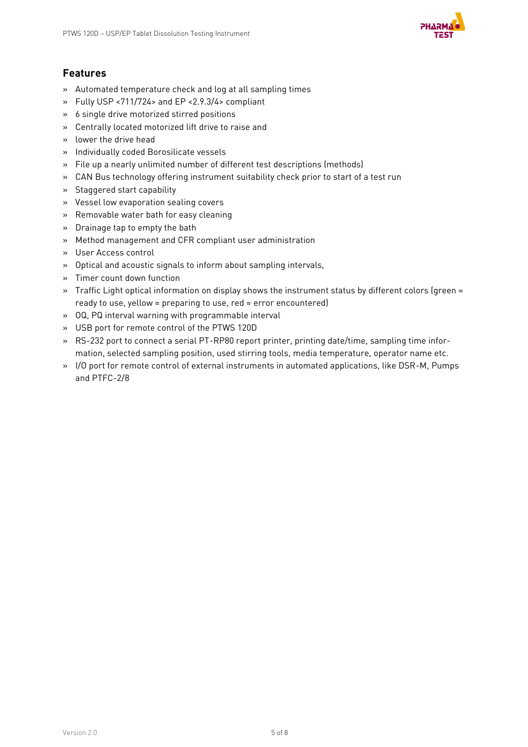

### **Features**

- » Automated temperature check and log at all sampling times
- » Fully USP <711/724> and EP <2.9.3/4> compliant
- » 6 single drive motorized stirred positions
- » Centrally located motorized lift drive to raise and
- » lower the drive head
- » Individually coded Borosilicate vessels
- » File up a nearly unlimited number of different test descriptions (methods)
- » CAN Bus technology offering instrument suitability check prior to start of a test run
- » Staggered start capability
- » Vessel low evaporation sealing covers
- » Removable water bath for easy cleaning
- » Drainage tap to empty the bath
- » Method management and CFR compliant user administration
- » User Access control
- » Optical and acoustic signals to inform about sampling intervals,
- » Timer count down function
- » Traffic Light optical information on display shows the instrument status by different colors (green = ready to use, yellow = preparing to use, red = error encountered)
- » OQ, PQ interval warning with programmable interval
- » USB port for remote control of the PTWS 120D
- » RS-232 port to connect a serial PT-RP80 report printer, printing date/time, sampling time information, selected sampling position, used stirring tools, media temperature, operator name etc.
- » I/O port for remote control of external instruments in automated applications, like DSR-M, Pumps and PTFC-2/8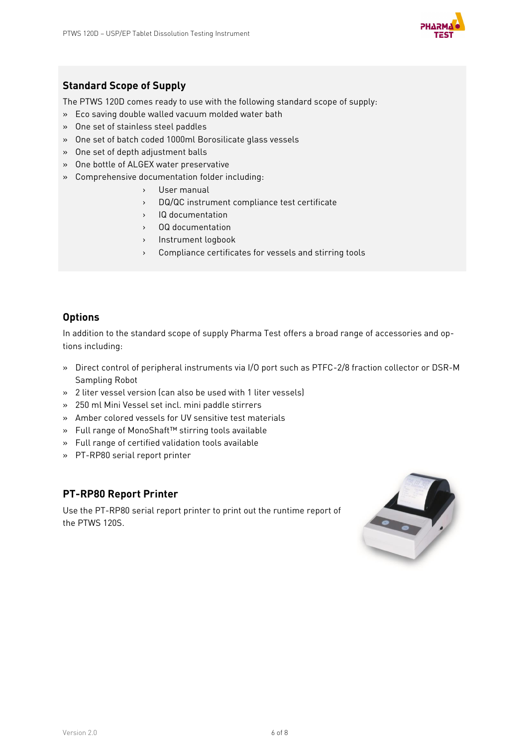

### **Standard Scope of Supply**

The PTWS 120D comes ready to use with the following standard scope of supply:

- » Eco saving double walled vacuum molded water bath
- » One set of stainless steel paddles
- » One set of batch coded 1000ml Borosilicate glass vessels
- » One set of depth adjustment balls
- » One bottle of ALGEX water preservative
- » Comprehensive documentation folder including:
	- › User manual
	- › DQ/QC instrument compliance test certificate
	- › IQ documentation
	- › OQ documentation
	- › Instrument logbook
	- › Compliance certificates for vessels and stirring tools

### **Options**

In addition to the standard scope of supply Pharma Test offers a broad range of accessories and options including:

- » Direct control of peripheral instruments via I/O port such as PTFC-2/8 fraction collector or DSR-M Sampling Robot
- » 2 liter vessel version (can also be used with 1 liter vessels)
- » 250 ml Mini Vessel set incl. mini paddle stirrers
- » Amber colored vessels for UV sensitive test materials
- » Full range of MonoShaft™ stirring tools available
- » Full range of certified validation tools available
- » PT-RP80 serial report printer

### **PT-RP80 Report Printer**

Use the PT-RP80 serial report printer to print out the runtime report of the PTWS 120S.

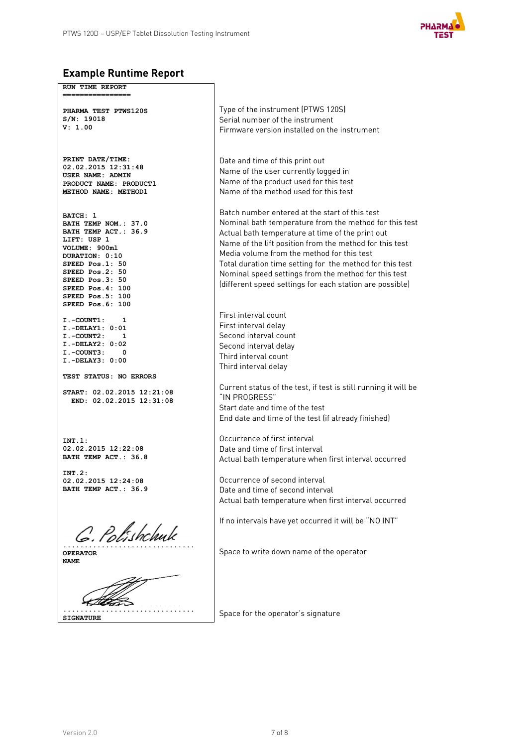

# **Example Runtime Report**

| RUN TIME REPORT<br>===============                                                                                                                                                                                              |                                                                                                                                                                                                                                                                                                                                                                                                                                                       |
|---------------------------------------------------------------------------------------------------------------------------------------------------------------------------------------------------------------------------------|-------------------------------------------------------------------------------------------------------------------------------------------------------------------------------------------------------------------------------------------------------------------------------------------------------------------------------------------------------------------------------------------------------------------------------------------------------|
| PHARMA TEST PTWS120S<br>S/N: 19018<br>V: 1.00                                                                                                                                                                                   | Type of the instrument (PTWS 120S)<br>Serial number of the instrument<br>Firmware version installed on the instrument                                                                                                                                                                                                                                                                                                                                 |
| PRINT DATE/TIME:<br>02.02.2015 12:31:48<br>USER NAME: ADMIN<br>PRODUCT NAME: PRODUCT1<br>METHOD NAME: METHOD1                                                                                                                   | Date and time of this print out<br>Name of the user currently logged in<br>Name of the product used for this test<br>Name of the method used for this test                                                                                                                                                                                                                                                                                            |
| BATCH: 1<br>BATH TEMP NOM.: 37.0<br>BATH TEMP ACT.: 36.9<br>LIFT: USP 1<br>VOLUME: 900ml<br>DURATION: 0:10<br>SPEED Pos.1: 50<br>SPEED Pos.2: 50<br>SPEED Pos.3: 50<br>SPEED Pos.4: 100<br>SPEED Pos.5: 100<br>SPEED Pos.6: 100 | Batch number entered at the start of this test<br>Nominal bath temperature from the method for this test<br>Actual bath temperature at time of the print out<br>Name of the lift position from the method for this test<br>Media volume from the method for this test<br>Total duration time setting for the method for this test<br>Nominal speed settings from the method for this test<br>(different speed settings for each station are possible) |
| $I.-COUNT1: 1$<br>I.-DELAY1: 0:01<br>I.-COUNT2: 1<br>$I.-DELAY2: 0:02$<br>I.-COUNT3: 0<br>I.-DELAY3: 0:00                                                                                                                       | First interval count<br>First interval delay<br>Second interval count<br>Second interval delay<br>Third interval count<br>Third interval delay                                                                                                                                                                                                                                                                                                        |
| <b>TEST STATUS: NO ERRORS</b><br>START: 02.02.2015 12:21:08<br>END: 02.02.2015 12:31:08                                                                                                                                         | Current status of the test, if test is still running it will be<br>"IN PROGRESS"<br>Start date and time of the test<br>End date and time of the test (if already finished)                                                                                                                                                                                                                                                                            |
| INT.1:<br>02.02.2015 12:22:08<br>BATH TEMP ACT.: 36.8                                                                                                                                                                           | Occurrence of first interval<br>Date and time of first interval<br>Actual bath temperature when first interval occurred                                                                                                                                                                                                                                                                                                                               |
| INT.2:<br>02.02.2015 12:24:08<br>BATH TEMP ACT.: 36.9                                                                                                                                                                           | Occurrence of second interval<br>Date and time of second interval<br>Actual bath temperature when first interval occurred                                                                                                                                                                                                                                                                                                                             |
| C. Polishchuk                                                                                                                                                                                                                   | If no intervals have yet occurred it will be "NO INT"                                                                                                                                                                                                                                                                                                                                                                                                 |
| OPERATOR<br><b>NAME</b>                                                                                                                                                                                                         | Space to write down name of the operator                                                                                                                                                                                                                                                                                                                                                                                                              |
|                                                                                                                                                                                                                                 |                                                                                                                                                                                                                                                                                                                                                                                                                                                       |
| <b>SIGNATURE</b>                                                                                                                                                                                                                | Space for the operator's signature                                                                                                                                                                                                                                                                                                                                                                                                                    |